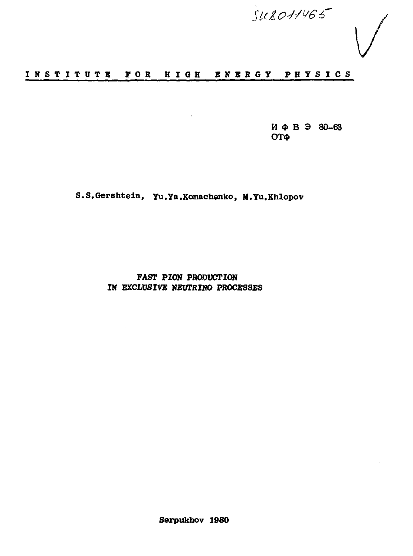$\frac{SULO11465}{SULO11165}$ 

# **INSTITUT E FO R HIG H ENERG Y PHYSIC <sup>S</sup>**

 $\mathbf{r}$ 

 **Ф В Э 80-6 <sup>3</sup> ОТФ** 

**S.S.Gershtein, Yu.Ya.Komachenko, M.Yu.Khlopov**

**FAST PION PRODUCTION IN EXCLUSIVE NEUTRINO PROCESSES**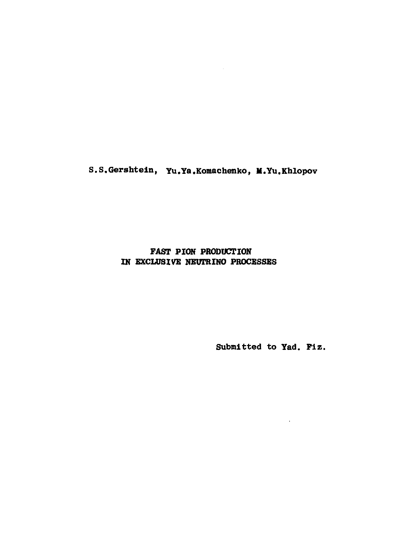**S.S.Gershtein, Yu.Ya.Komachenko, M.Yu.Khlopov**

# **FAST PION PRODUCTION IN EXCLUSIVE NEUTRINO PROCESSES**

**Submitted to Yad. Fiz.**

 $\cdot$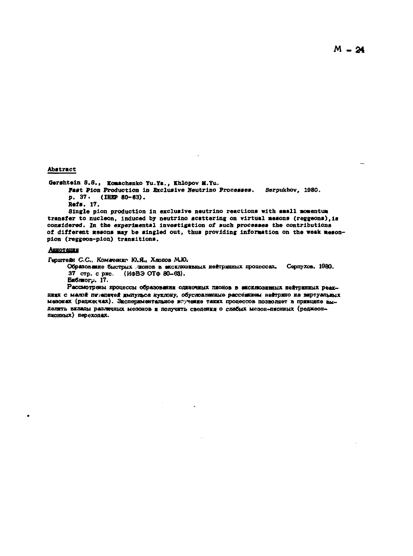**Abstract** 

Gershtein S.S., Komachenko Yu.Ya., Khlopov M.Yu.

Fast Pion Production in Exclusive Neutrino Processes. Seroukhov. 1980. p. 37. (IHEP 80-63).

Refs. 17.

Single pion production in exclusive neutrino reactions with small momentum transfer to nucleon, induced by neutrino scattering on virtual mesons (reggeons), is considered. In the experimental investigation of such processes the contributions of different gesons may be singled out, thus providing information on the weak mesonpion (reggeon-pion) transitions.

#### Анноташки

Герштейн С.С., Комаченко Ю.Я., Хлопов М.Ю.

Образование быстрых июнов в эксклюзивных нейтринных процессах. Серпухов, 1980. 37 стр. с рис. (ИФВЭ ОТФ 80-63).

Библиогр. 17.

Рассмотрены процессы образования одиночных пионов в эксклюзивных нейтринных реакщищх с малой пе едачей импульса нуклону, обусловленные расседилем нейтрино на впртуальных мезонах (реджесчах). Экспериментальное исучение таких процессов позволяет в принципе выделять вклады различных мезонов и получить сведения о слабых мезон-пионных (реджеонпионных) переходах.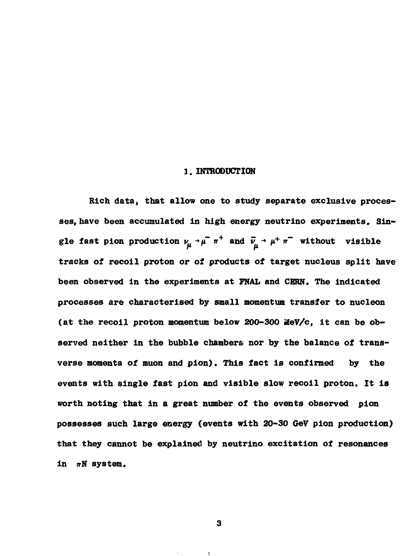#### **1. INTRODUCTION**

**Rich data, that allow one to study separate exclusive proces ses, have been accumulated in high energy neutrino experiments. Sin** gle fast pion production  $\nu_\mu \rightarrow \mu^+ \pi^+$  and  $\bar{\nu}_\mu \rightarrow \mu^+ \pi^-$  without visible **tracks of recoil proton or of products of target nucleus split have been observed in the experiments at FNAL and CERN. The indicated processes are characterised by small momentum transfer to nucleon (at the recoil proton momentum below 200-300 MeV/c, it can be ob served neither in the bubble chambers nor by the balance of trans verse momenta of muon and pion). This fact is confirmed by the events with single fast pion and visible slow recoil proton. It is worth noting that in a great number of the events observed pion possesses such large energy (events with 20-30 GeV pion production) that they cannot be explained by neutrino excitation of resonances**  $in$   $\pi N$  system.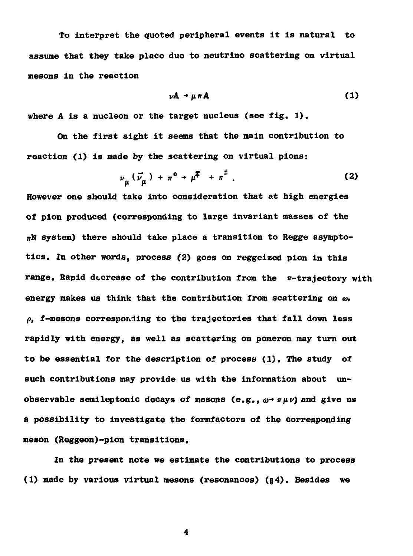**To interpret the quoted peripheral events it is natural to assume that they take place due to neutrino scattering on virtual mesons in the reaction**

$$
\nu A \rightarrow \mu \pi A \tag{1}
$$

**where A is a nucleon or the target nucleus (see fig. 1).**

**On the first sight it seems that the main contribution to reaction (1) is made by the scattering on virtual pions:**

$$
\nu_{\mu} (\vec{\nu}_{\mu}) + \pi^{\circ} \rightarrow \mu^{\overline{*}} + \pi^{\overline{*}} . \qquad (2)
$$

**However one should take into consideration that at high energies of pion produced (corresponding to large invariant masses of the TTN system) there should take place a transition to Regge asympto tics. In other words, process (2) goes on reggeized pion in this range. Rapid decrease of the contribution from the я-trajectory with energy makes us think that the contribution from scattering on** *со, p,* **f-mesons corresponiing to the trajectories that fall down less rapidly with energy, as well as scattering on pomeron may turn out to be essential for the description of process (1). The study of such contributions may provide us with the information about un observable semileptonic decays of mesons (e.g.,** $\omega$ <sup>2</sup>  $\pi \mu \nu$ ) and give us **a possibility to investigate the formfactors of the corresponding meson (Reggeon)-pion transitions.**

**In the present note we estimate the contributions to process (1) made by various virtual mesons (resonances) (§4). Besides we**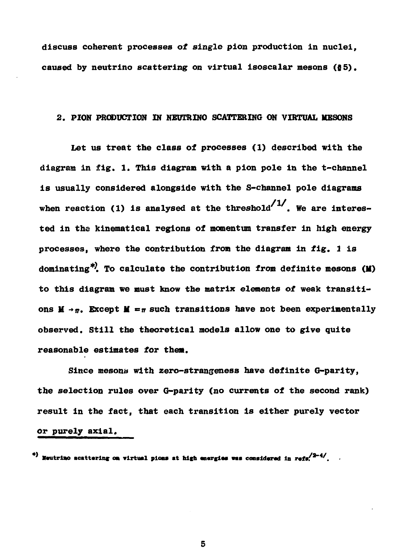**discuss coherent processes of single pion production in nuclei, caused by neutrino scattering on virtual isoscalar mesons (85).**

## **2. PION PRODUCTION IN NEUTRINO SCATTERING ON VIRTUAL MESONS**

**Let us treat the class of processes (1) described with the diagram in fig. 1. This diagram with a pion pole in the t-channel is usually considered alongside with the S-channel pole diagrams** when reaction (1) is analysed at the threshold<sup> $/1$ </sup>. We are interes**ted in the kinematical regions of momentum transfer in high energy processes, where the contribution from the diagram in fig. 1 is dominating\*^. To calculate the contribution from definite mesons (II) to this diagram we must know the matrix elements of weak transiti** ons  $M \rightarrow \pi$ . Except  $M = \pi$  such transitions have not been experimentally **observed. Still the theoretical models allow one to give quite reasonable estimates for them.**

**Since mesons with zero-strangeness have definite G-parity, the selection rules over G-parity (no currents of the second rank) result in the fact, that each transition is either purely vector or purely axial.**

\*) **Moutrino scattering on virtual pions at high energies was considered in refs<sup>12-41</sup>.**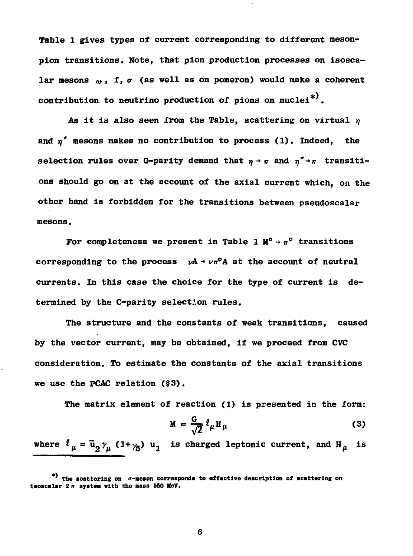**Table 1 gives types of current corresponding to different meson pion transitions. Note, that pion production processes on isosca** lar mesons  $\omega$ , f,  $\sigma$  (as well as on pomeron) would make a coherent contribution to neutrino production of pions on nuclei<sup>\*)</sup>.

As it is also seen from the Table, scattering on virtual  $\eta$ and n' mesons makes no contribution to process (1). Indeed, the **selection rules over G-parity demand that**  $\eta \rightarrow \pi$  **and**  $\eta^* \rightarrow \pi$  **transitions should go on at the account of the axial current which, on the other hand is forbidden for the transitions between pseudoscalar mesons.**

For completeness we present in Table 1  $\mathbb{M}^{\circ} \rightarrow \pi^{\circ}$  transitions corresponding to the process  $\nu A \rightarrow \nu \pi^0 A$  at the account of neutral **currents. In this case the choice for the type of current is de** termined by the C-parity selection rules.

**The structure and the constants of weak transitions, caused by the vector current, may be obtained, if we proceed from CVC consideration. To estimate the constants of the axial transitions we use the PCAC relation (§3).**

**The matrix element of reaction (1) is presented in the form:**

$$
M = \frac{G}{\sqrt{2}} \ell_{\mu} H_{\mu}
$$
 (3)

where  $\ell_{\mu} = \bar{u}_{2} y_{\mu} (1+y_{5}) u_{1}$  is charged leptonic current, and  $H_{\mu}$  is

**The scattering on tr-meson corresponds to affective description of scattering on** isoscalar 2 **m** system with the mass 550 MeV.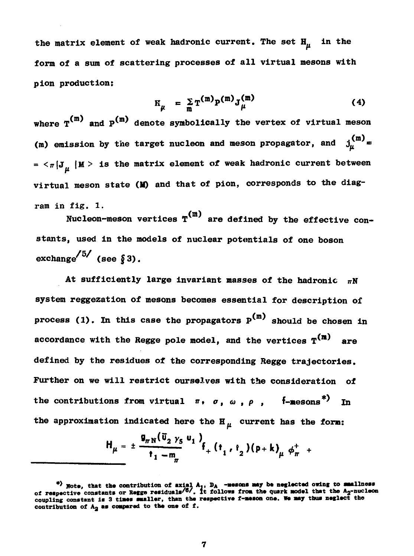the matrix element of weak hadronic current. The set  $H_{ii}$  in the **form of a sum of scattering processes of all virtual mesons with pion production:**

$$
E_{\mu} = \sum_{m} T^{(m)} P^{(m)} J_{\mu}^{(m)}
$$
 (4)

where  $T^{(m)}$  and  $P^{(m)}$  denote symbolically the vertex of virtual meson (m) emission by the target nucleon and meson propagator, and  $j_{ii}^{(m)} =$  $= \langle \pi | J_{\mu} | M \rangle$  is the matrix element of weak hadronic current between **virtual meson state (1© and that of pion, corresponds to the diag ram in fig. 1.**

Nucleon-meson vertices  $T^{(m)}$  are defined by the effective constants, used in the models of nuclear potentials of one boson  $\text{exchange}^{15/}$  (see §3).

At sufficiently large invariant masses of the hadronic  $\pi N$ system reggezation of mesons becomes essential for description of **process** (1). In this case the propagators  $P^{(m)}$  should be chosen in **processes (1).** It is case the propagators parallel be chosen in  $\mathbf{f}(\mathbf{n})$ **accordance with the Regge pole model, and the vertices T\*<sup>m</sup> \* are** Further on we will restrict ourselves with the consideration of the contributions from virtual  $\pi$ ,  $\sigma$ ,  $\omega$ ,  $\rho$ , f-mesons<sup>\*)</sup> In the approximation indicated here the  $\mathbf{H}_{\mu}$  current has the form:

$$
H_{\mu} = \pm \frac{g_{\pi N}(\bar{u}_2 \gamma_5 u_1)}{t_1 - m_{\pi}} f_+ (t_1, t_2) (p + k)_{\mu} \phi_{\pi}^+ +
$$

<sup>&</sup>lt;sup>\*</sup>) Note, that the contribution of axial A<sub>1</sub>, D<sub>A</sub> -messons may be neglected owing to smallness<br>of respective constants or Regge residuals<sup>/6</sup>/. It follows from the quark model that the A<sub>2</sub>-nucleon coupling constant is 3 times smaller, than the respective f-meson one. We may thus neglect the contribution of  $A_2$  as compared to the one of f.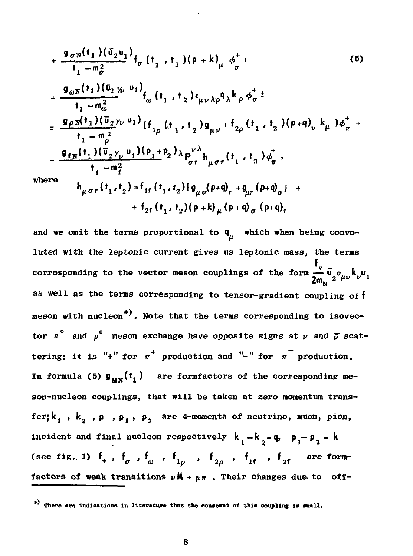$$
+\frac{9\sigma_{N}(t_{1})(\bar{u}_{2}u_{1})}{t_{1}-m_{\sigma}^{2}}f_{\sigma}(t_{1},t_{2})(p+k)_{\mu}\phi_{\pi}^{+}+(5)
$$
\n
$$
+\frac{9\omega_{N}(t_{1})(\bar{u}_{2}\mu u_{1})}{t_{1}-m_{\omega}^{2}}f_{\omega}(t_{1},t_{2})\epsilon_{\mu\nu\lambda\rho}q_{\lambda}k_{\rho}\phi_{\pi}^{+}\n+ \frac{9\rho_{N}(t_{1})(\bar{u}_{2}\nu_{\nu}u_{1})}{t_{1}-m_{\rho}^{2}}[f_{1\rho}(t_{1},t_{2})g_{\mu\nu}+f_{2\rho}(t_{1},t_{2})(p+q)_{\nu}k_{\mu}]\phi_{\pi}^{+}+(7\rho_{N}^{2})\phi_{\pi}^{+}\n+ \frac{9\sigma_{N}(t_{1})(\bar{u}_{2}\nu_{\nu}u_{1})(p_{1}+p_{2})\lambda p_{\sigma}^{\nu\lambda}}{t_{1}-m_{f}^{2}}\nwhere\nh_{\mu\sigma\tau}(t_{1},t_{2})=f_{1f}(t_{1},t_{2})[g_{\mu\sigma}(p+q)_{\tau}+g_{\mu\tau}(p+q)_{\sigma}]+f_{2f}(t_{1},t_{2})(p+k)_{\mu}(p+q)_{\sigma}(p+q)_{\tau}
$$

and we omit the terms proportional to  $q_{\mu}$  which when being convoluted with the leptonic current gives us leptonic mass, the terms corresponding to the vector meson couplings of the form  $\frac{t_v}{2m_e} \tilde{u}_2 \sigma_{\mu\nu} k_\nu u_1$ as well as the terms corresponding to tensor-gradient coupling of f meson with nucleon<sup>\*</sup>). Note that the terms corresponding to isovector  $\pi^{\circ}$  and  $\rho^{\circ}$  meson exchange have opposite signs at  $\nu$  and  $\bar{\nu}$  scattering: it is "+" for  $\pi^+$  production and "-" for  $\pi^-$  production. In formula (5)  $\mathfrak{g}_{\mathbf{u}\mathbf{v}}(\mathbf{t}_1)$  are formfactors of the corresponding meson-nucleon couplings, that will be taken at zero momentum transfer;  $k_1$ ,  $k_2$ ,  $p$ ,  $p_1$ ,  $p_2$  are 4-momenta of neutrino, muon, pion, incident and final nucleon respectively  $k_1 - k_2 = q$ ,  $p_1 - p_2 = k$ (see fig. 1)  $f_+$ ,  $f_{\sigma}$ ,  $f_{\omega}$ ,  $f_{1\rho}$ ,  $f_{2\rho}$ ,  $f_{1f}$ ,  $f_{2f}$  are formfactors of weak transitions  $\nu \mathbf{M} \rightarrow \mu \pi$ . Their changes due to off-

<sup>\*)</sup> There are indications in literature that the constant of this coupling is small.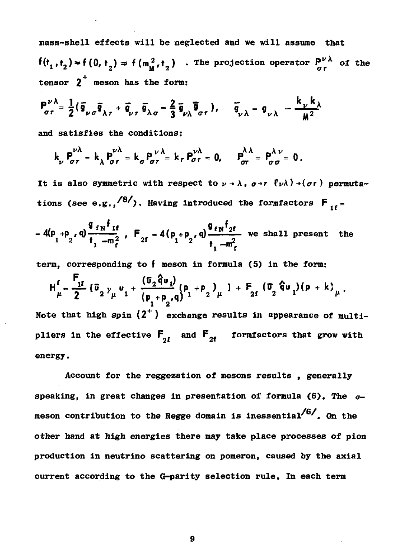mass-shell effects will be neglected and we will assume that  $f(t_1, t_2) \approx f(0, t_2) \approx f(m_M^2, t_2)$ . The projection operator  $P^{\nu \lambda}_{\sigma \tau}$  of the tensor  $2^+$  meson has the form:

$$
P_{\sigma\tau}^{\nu\lambda} = \frac{1}{2} (\overline{\mathfrak{g}}_{\nu\sigma}\overline{\mathfrak{g}}_{\lambda\tau} + \overline{\mathfrak{g}}_{\nu\tau} \overline{\mathfrak{g}}_{\lambda\sigma} - \frac{2}{3} \overline{\mathfrak{g}}_{\nu\lambda} \overline{\mathfrak{g}}_{\sigma\tau}), \quad \overline{\mathfrak{g}}_{\nu\lambda} = \mathfrak{g}_{\nu\lambda} - \frac{k_{\nu}k_{\lambda}}{M^2}
$$

and satisfies the conditions:

$$
k_{\nu} P_{\sigma r}^{\nu \lambda} = k_{\lambda} P_{\sigma r}^{\nu \lambda} = k_{\sigma} P_{\sigma r}^{\nu \lambda} = k_{r} P_{\sigma r}^{\nu \lambda} = 0, \quad P_{\sigma r}^{\lambda \lambda} = P_{\sigma \sigma}^{\lambda \nu} = 0.
$$

It is also symmetric with respect to  $\nu \rightarrow \lambda$ ,  $\sigma \rightarrow r$  ( $\nu \lambda$ )  $\rightarrow (\sigma r)$  permutations (see e.g.,  $\frac{8}{3}$ ). Having introduced the formfactors  $F_{16} =$ 

$$
= 4(p_1 + p_2, q) \frac{q_{fN}f_{1f}}{t_1 - m_f^2}, F_{2f} = 4(p_1 + p_2, q) \frac{q_{fN}f_{2f}}{t_1 - m_f^2}
$$
 we shall present the

term, corresponding to  $f$  meson in formula (5) in the form;

$$
H_{\mu}^{f} = \frac{F_{1f}}{2} \left[ \bar{v}_{2} y_{\mu} v_{1} + \frac{(\bar{v}_{2} \hat{q} v_{1})}{(p_{1} + p_{2}, q)} (p_{1} + p_{2})_{\mu} \right] + F_{2f} (\bar{v}_{2} \hat{q} v_{1}) (p + k)_{\mu}.
$$
  
Note that high spin (2<sup>+</sup>) exchange results in appearance of multi-  
pliers in the effective  $F_{2f}$  and  $F_{2f}$  formfactors that grow with  
energy.

Account for the reggezation of mesons results, generally speaking, in great changes in presentation of formula (6). The  $\sigma$ meson contribution to the Regge domain is inessential $/6/$ . On the other hand at high energies there may take place processes of pion production in neutrino scattering on pomeron, caused by the axial current according to the G-parity selection rule. In each term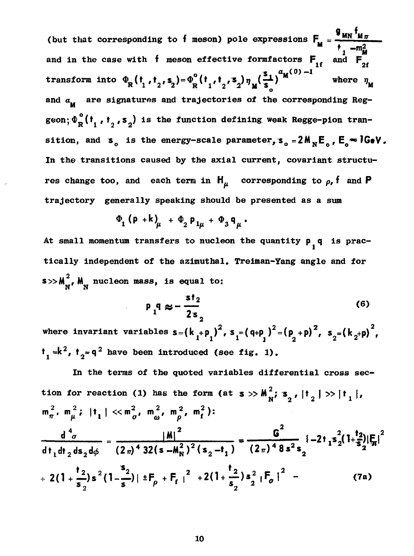g .... f. (but that corresponding to f meson) pole expressions  $F_u = \frac{mn}{m} \frac{M \pi}{2}$ and in the case with f meson effective formfactors  $F_{1f}$  and  $F_{2f}$ <sup>n</sup> **if**  $\overline{a}$  $\int_{0}^{8} (t_{1}, t_{2}, s_{2}) \eta_{\mu}(\frac{1}{s_{1}})^{m}$ **transform in the**  $\mathbf{r}$  **d**  $\mathbf{r}$  **d**  $\mathbf{r}$  **d**  $\mathbf{r}$  **w**  $\mathbf{r}$  **d**  $\mathbf{r}$ **and a are signatures and trajectories of the corresponding Reg geometric is the function of**  $\mathbf{R} \cdot \mathbf{1} \cdot \mathbf{2}^T \cdot \mathbf{2}^T$ sition, and s<sub>o</sub> is the energy-scale parameter,  $s_o = 2M_N E_o$ ,  $E_a \approx 1 GeV$ . In the transitions caused by the axial current, covariant structures change too, and each term in  $H_u$  corresponding to  $\rho$ , **f** and **P trajectory** generally speaking should be presented as a sum

$$
\Phi_1 (\mathsf{p} + \mathsf{k})_{\mu} + \Phi_2 \mathsf{p}_{1\mu} + \Phi_3 \mathsf{q}_{\mu}.
$$

**At small momentum transfers to nucleon the quantity p q is prac tically independent of the azimuthal. Treiman-Yang angle and for**  $s$   $>>$   $M_{\nu}$ ,  $M_{\nu}$  nucleon mass, is equal to:

$$
P_{1}q \approx -\frac{st_{2}}{2s_{2}}
$$
 (6)

where invariant variables  $s = (k_1 + p_1)^2$ ,  $s_1 = (q+p_1)^2 = (p_1 + p_1)^2$ ,  $s_2 = (k_2 + p_1)^2$ ,  $\mathbf{f}_1 \approx \mathbf{k}^2$ ,  $\mathbf{f}_2 = \mathbf{q}^2$  have been introduced (see fig. 1).

**In the terms of the quoted variables differential cross sec 2 tion for reaction (1) has the form (at**  $\mathbf{s} \gg \mathbf{M}^2$ **,**  $\mathbf{s}$ **,**  $|\mathbf{t}_s| \gg |\mathbf{t}_s|$ **,**  ${\sf m}_\pi^{\,2}$ ,  ${\sf m}_\mu^{\,2}$ ;  $|{\sf t}_{\bf 1}| < < {\sf m}_\sigma^{\,2}$ ,  ${\sf m}_\alpha^{\,2}$ ,  ${\sf m}_\sigma^{\,2}$ ,  ${\sf m}_\text{f}^{\,2})$ :  $\frac{|\mathbf{M}|}{\mathbf{M}^2 \cdot 2^2 (\mathbf{s} - \mathbf{t})} = \frac{1}{(2\pi)^4 8s^2 \mathbf{s}} (-2t_1 \mathbf{s}_2^2)$ **( 2f f ) <sup>4</sup>32(s-Mj) <sup>2</sup> ( s <sup>2</sup> - t <sup>1</sup> ) (2f f ) <sup>4</sup>8 s <sup>2</sup> s 2**  $\left| \frac{1}{2} \right| \left| \frac{1}{2} \right| \mathbf{F}_p + \mathbf{F}_f \right|^2 + 2 \left( 1 + \frac{2}{\epsilon} \right) s^2 \left| \mathbf{F}_p \right|^2$  - (7a)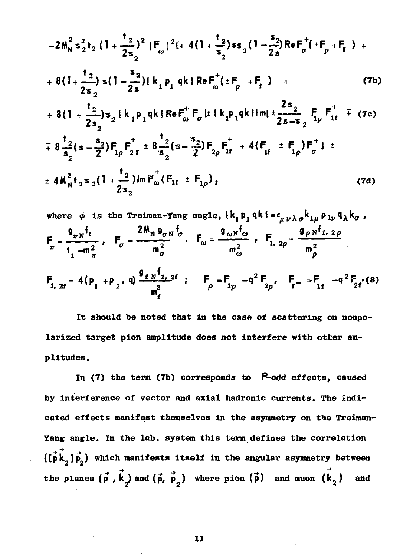$$
-2M_{N}^{2} s_{2}^{2} t_{2} (1 + \frac{t_{2}}{2s_{2}})^{2} |F_{\omega}|^{2} [+ 4(1 + \frac{t_{2}}{s_{2}}) s_{2} (1 - \frac{s_{2}}{2s}) ReF_{\sigma}^{+} (t F_{\rho} + F_{t}) +
$$
  
+ 8(1 + \frac{t\_{2}}{2s\_{2}}) s (1 - \frac{s\_{2}}{2s}) |k\_{1} p\_{1} q k | ReF\_{\omega}^{+} (t F\_{\rho} + F\_{t}) + (7b)  
+ 8(1 + \frac{t\_{2}}{2s\_{2}}) s\_{2} |k\_{1} p\_{1} q k | ReF\_{\omega}^{+} F\_{\sigma} [t l k\_{1} p\_{1} q k] Im[t \frac{2s\_{2}}{2s - s\_{2}} F\_{1\rho} F\_{1f}^{+} + (7c)  
+ 8 \frac{t\_{2}}{s\_{2}} (s - \frac{s\_{2}}{2}) F\_{1\rho} F\_{2f}^{+} t 8 \frac{t\_{2}}{s\_{2}} (s - \frac{s\_{2}}{2}) F\_{2\rho} F\_{1f}^{+} + 4(F\_{1f}^{+} t F\_{1\rho}) F\_{\sigma}^{+}] t  
+ 4M\_{N}^{2} t\_{2} s\_{2} (1 + \frac{t\_{2}}{2s\_{2}}) ImF\_{\omega}^{+} (F\_{1f}^{+} t F\_{1\rho}), \qquad (7d)

where 
$$
\phi
$$
 is the Treiman-Yang angle,  $\{k_1 p_1 q k\} = \epsilon_{\mu\nu\lambda\sigma} k_{1\mu} p_{1\nu} q_{\lambda} k_{\sigma}$ ,  
\n
$$
F_{\pi} = \frac{g_{\pi N} f_t}{t_1 - m_{\pi}^2}, \quad F_{\sigma} = \frac{2M_N g_{\sigma N} f_{\sigma}}{m_{\sigma}^2}, \quad F_{\omega} = \frac{g_{\omega N} f_{\omega}}{m_{\omega}^2}, \quad F_{1, 2\rho} = \frac{g_{\rho N} f_{1, 2\rho}}{m_{\rho}^2}
$$
\n
$$
F_{1, 2f} = 4(p_1 + p_2, q) \frac{g_{\ell N} f_{1, 2f}}{m_{\rho}^2}; \quad F_{\rho} = F_{1\rho} - q^2 F_{2\rho}, \quad F_{f} = F_{1f} - q^2 F_{2f}(8)
$$

It should be noted that in the case of scattering on nonpolarized target pion amplitude does not interfere with other amplitudes.

In  $(7)$  the term  $(7b)$  corresponds to  $P$ -odd effects, caused by interference of vector and axial hadronic currents. The indicated effects manifest themselves in the asymmetry on the Treiman-Yang angle. In the lab. system this term defines the correlation  $(\vec{p} \vec{k}_2) \vec{p}_2)$  which manifests itself in the angular asymmetry between the planes  $(\vec{p}, \vec{k}_2)$  and  $(\vec{p}, \vec{p}_2)$  where pion  $(\vec{p})$  and muon  $(\vec{k}_2)$ and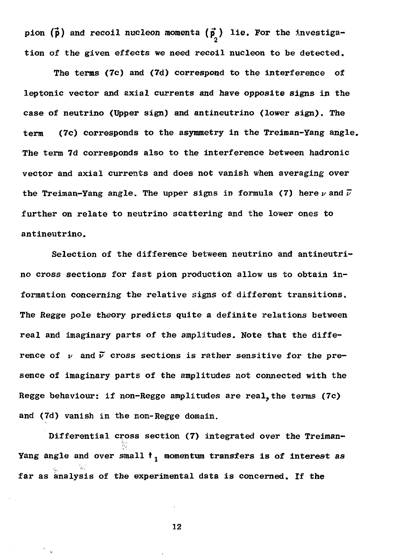pion  $(\vec{p})$  and recoil nucleon momenta  $(\vec{p})$  lie. For the investiga-2 tion of the given effects we need recoil nucleon to be detected.

The terms (7c) and (7d) correspond to the interference of leptonic vector and axial currents and have opposite signs in the case of neutrino (Upper sign) and antineutrino (lower sign). The (7c) corresponds to the asymmetry in the Treiman-Yang angle. term The term 7d corresponds also to the interference between hadronic vector and axial currents and does not vanish when averaging over the Treiman-Yang angle. The upper signs in formula (7) here  $\nu$  and  $\vec{\nu}$ further on relate to neutrino scattering and the lower ones to antineutrino.

Selection of the difference between neutrino and antineutrino cross sections for fast pion production allow us to obtain information concerning the relative signs of different transitions. The Regge pole theory predicts quite a definite relations between real and imaginary parts of the amplitudes. Note that the difference of v and v cross sections is rather sensitive for the presence of imaginary parts of the amplitudes not connected with the Regge behaviour: if non-Regge amplitudes are real, the terms (7c) and (7d) vanish in the non-Regge domain.

Differential cross section (7) integrated over the Treiman-Yang angle and over small  $t_1$  momentum transfers is of interest as far as analysis of the experimental data is concerned. If the

12

 $\sim$   $_{\rm k}$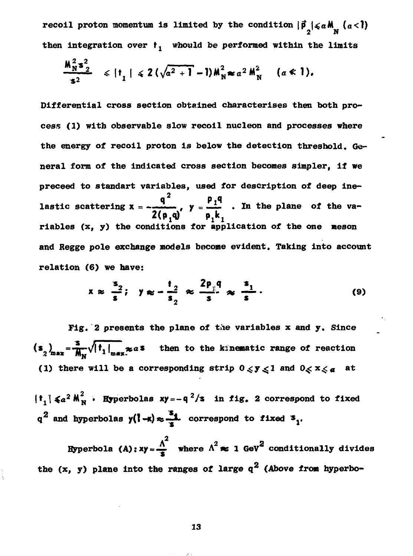**recoil proton momentum is limited by the condition**  $|\vec{p}| \leq a \land (a < l)$ **2 N** then integration over  $t_j$  whould be performed within the limits

$$
\frac{M_N^2 s_2^2}{s^2} \leq |t_1| \leq 2(\sqrt{a^2+1}-1)M_N^2 \approx a^2 M_N^2 \quad (a \ll 1).
$$

**Differential cross section obtained characterises then both pro cess (1) with observable slow recoil nucleon and processes where the energy of recoil proton is below the detection threshold. Ge neral form of the indicated cross section becomes simpler, if we preceed to standart variables, used for description of deep ine q 2 p.q** lastic scattering  $x = -1$ ,  $y = 1$ , In the plane of the va **riables (x, y) the conditions for application of the one meson and Regge pole exchange models become evident. Taking into account relation (6) we have:**

$$
x \approx \frac{s_2}{s}; \quad y \approx -\frac{t_2}{s_2} \approx \frac{2p_{\parallel}q}{s} \approx \frac{s_1}{s}.
$$
 (9)

**Fig. 2 presents the plane of** *the* **variables x and y. Since**  $(s_n)_{n=1} = \frac{1}{n} \sqrt{|t_1|_{n=1}}$  **zas** then to the kinematic range of reaction (1) there will be a corresponding strip  $0 \le y \le 1$  and  $0 \le x \le a$  at

 $\begin{bmatrix} 1 & 1 \\ 1 & 1 \end{bmatrix}$  **2** *M*  $\begin{bmatrix} 2 & 1 \\ 1 & 1 \end{bmatrix}$  **M**  $\begin{bmatrix} 1 & 1 \\ 1 & 1 \end{bmatrix}$  *M*  $\begin{bmatrix} 1 & 1 \\ 1 & 1 \end{bmatrix}$  *M*  $\begin{bmatrix} 1 & 1 \\ 1 & 1 \end{bmatrix}$  *M*  $\begin{bmatrix} 1 & 1 \\ 1 & 1 \end{bmatrix}$  *M*  $\begin{bmatrix} 1 & 1 \\ 1 & 1 \end{bmatrix}$   $q^2$  and hyperbolas  $y(1-x) \approx -1$  correspond to fixed  $x_1$ .

2 **Hyperbola (A):**  $xy = \frac{\Lambda}{2}$  where  $\Lambda^2 \approx 1$  GeV<sup>Z</sup> conditionally divides the  $(x, y)$  plane into the ranges of large  $q^2$  (Above from hyperbo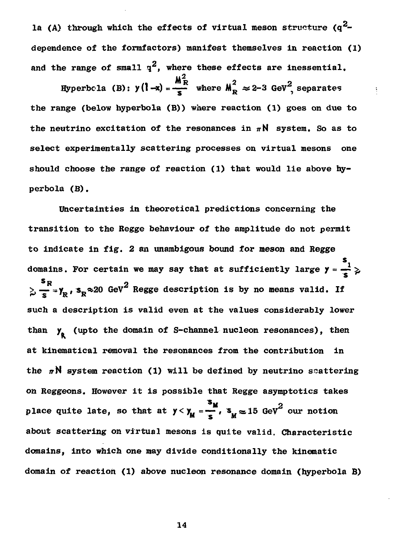la (A) through which the effects of virtual meson structure  $(a^2$ dependence of the formfactors) manifest themselves in reaction (1) and the range of small  $q^2$ , where these effects are inessential.

M $_{\rm I}^2$ Hyperbola (B):  $y(1-x) = \frac{1}{x}$  where  $M_R^2 \approx 2-3$  GeV<sup>2</sup>, separates the range (below hyperbola (B)) where reaction (1) goes on due to the neutrino excitation of the resonances in  $\pi N$  system. So as to select experimentally scattering processes on virtual mesons one should choose the range of reaction (1) that would lie above hy perbola (B).

Uncertainties in theoretical predictions concerning the transition to the Regge behaviour of the amplitude do not permit to indicate in fig. 2 an unambigous bound for meson and Regge domains. For certain we may say that at sufficiently large  $y = \frac{3}{5}$  $\frac{s_R}{\lambda} = s_R$ ,  $s_R \approx 20$  GeV<sup>2</sup> Regge description is by no means valid. If  $\sim$  3 and  $\sim$ such a description is valid even at the values considerably lower than  $y_{g}$  (upto the domain of S-channel nucleon resonances), then  $\mathbf n$  (up to the domain of  $\mathbf n$ ) of  $\mathbf n$  and  $\mathbf n$ at kinematical removal the resonances from the contribution in on Reggeons. However it is possible that Regge asymptotics takes place quite late, so that at  $y < y_M = \frac{s_M}{s}$ ,  $s_M \approx 15$  GeV<sup>2</sup> our notion about scattering on virtual mesons is quite valid. Characteristic domains, into which one may divide conditionally the kinematic domain of reaction (1) above nucleon resonance domain (hvoerbola B)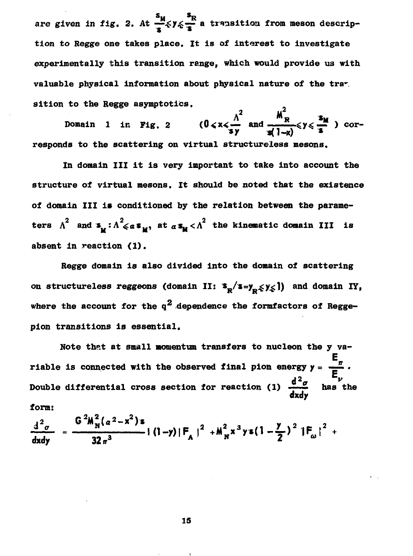are given in fig. 2. At  $\frac{s_M}{s} \leq \gamma \leq \frac{s_R}{s}$  a transition from meson description to Regge one takes place. It is of interest to investigate experimentally this transition range, which would provide us with valuable physical information about physical nature of the trar. sition to the Regge asymptotics.

Domain 1 in Fig. 2  $(0 < x < \frac{\Lambda^2}{sy}$  and  $\frac{M_R^2}{\omega' 1 - y} < y < \frac{s_M}{s}$  ) corresponds to the scattering on virtual structureless mesons.

In domain III it is very important to take into account the structure of virtual mesons. It should be noted that the existence of domain III is conditioned by the relation between the parameters  $\Lambda^2$  and  $s_u : \Lambda^2 \leq a s_u$ , at  $a s_u < \Lambda^2$  the kinematic domain III is absent in reaction (1).

Regge domain is also divided into the domain of scattering on structureless reggeons (domain II:  $s_p/s = y_p \leq y \leq 1$ ) and domain IY, where the account for the  $q^2$  dependence the formfactors of Reggepion transitions is essential.

Note that at small momentum transfers to nucleon the y variable is connected with the observed final pion energy  $y = \frac{E_n}{E_\nu}$ .<br>Double differential cross section for reaction (1)  $\frac{d^2\sigma}{dx^2}$  has the form:

$$
\frac{d^2 \sigma}{dx dy} = \frac{G^2 M_N^2 (a^2 - x^2) s}{32 \pi^3} \{ (1-y) |F_A|^2 + M_N^2 x^3 y s (1 - \frac{y}{2})^2 |F_{\omega}|^2 +
$$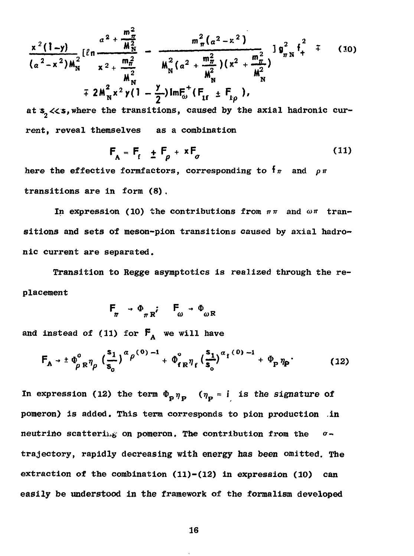$$
\frac{x^2(1-y)}{(a^2-x^2)M_N^2} \left[\ell n \frac{a^2 + \frac{m_\pi^2}{M_N^2}}{x^2 + \frac{m_\pi^2}{M_N^2}} - \frac{m_\pi^2 (a^2-x^2)}{M_N^2 (a^2 + \frac{m_\pi^2}{M_N^2})(x^2 + \frac{m_\pi^2}{M_N^2})} \right] g_{\pi N}^2 t^2 + (10)
$$
  
7.  $2M_N^2 x^2 y(1 - \frac{y}{2}) ImE_0^+(F_{1f} \pm F_{1\rho})$ ,

at  $s, \ll s$ , where the transitions, caused by the axial hadronic current, reveal themselves as a combination

$$
\mathsf{F}_{\mathsf{A}} = \mathsf{F}_{\mathsf{f}} \pm \mathsf{F}_{\rho} + \mathsf{x} \mathsf{F}_{\sigma} \tag{11}
$$

here the effective formfactors, corresponding to  $f_{\pi}$  and  $\rho_{\pi}$ transitions are in form (8) .

In expression (10) the contributions from  $\pi\pi$  and  $\omega\pi$  transitions and sets of meson-pion transitions caused by axial hadronic current are separated.

Transition to Regge asymptotics is realized through the re placement

$$
F_{\pi} \rightarrow \Phi_{\pi R} \qquad F_{\omega} \rightarrow \Phi_{\omega R}
$$

and instead of (11) for  $F_A$  we will have

$$
F_A \rightarrow \pm \, \phi_{\rm p\,R}^0 \, \eta_{\rm p} \, \left(\frac{s_1}{s_0}\right)^{\alpha} \rho^{(0)} \, ^{-1} + \, \phi_{\rm f\,R}^0 \eta_{\rm f} \left(\frac{s_1}{s_0}\right)^{\alpha_{\rm f}(0)} \, ^{-1} + \, \Phi_{\rm p} \, \eta_{\rm p} \, . \tag{12}
$$

In expression (12) the term  $\Phi_{\mathbf{p}} \eta_{\mathbf{p}}$  ( $\eta_{\mathbf{p}} = \mathbf{i}$  is the signature of pomeron) is added. This term corresponds to pion production in neutrino scattering on pomeron. The contribution from the *a*trajectory, rapidly decreasing with energy has been omitted. The extraction of the combination  $(11)-(12)$  in expression  $(10)$  can easily be understood in the framework of the formalism developed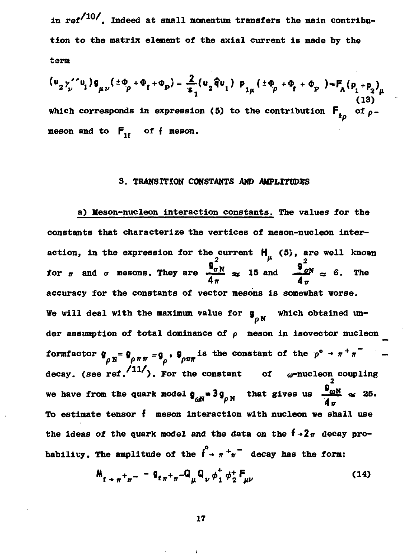in ref<sup>/10/</sup>. Indeed at small momentum transfers the main contribution to the matrix element of the axial current is made by the term

$$
(\mathbf{u}_2\gamma_{\nu}^{\prime\prime}\mathbf{u}_1)\mathbf{g}_{\mu\nu}(\pm\Phi_{\rho}+\Phi_{\mathbf{f}}+\Phi_{\mathbf{p}})=\frac{2}{\mathbf{s}_1}(\mathbf{u}_2\hat{\mathbf{q}}\mathbf{u}_1)\mathbf{p}_{1\mu}(\pm\Phi_{\rho}+\Phi_{\mathbf{f}}+\Phi_{\mathbf{p}})\approx\mathbf{F}_A(\mathbf{p}_1+\mathbf{p}_2)_{\mu}
$$
  
\nwhich corresponds in expression (5) to the contribution  $\mathbf{F}_{1\rho}$  of  $\rho$ -meson and to  $\mathbf{F}_{1\rho}$  of  $\mathbf{f}$  meson.

## 3. TRANSITION CONSTANTS AND AMPLITIDES

a) Meson-nucleon interaction constants. The values for the constants that characterize the vertices of meson-nucleon interaction, in the expression for the current  $H_u$  (5), are well known for  $\pi$  and  $\sigma$  mesons. They are  $\frac{9\pi N}{4\pi} \approx 15$  and  $\frac{9\pi N}{4} \approx 6$ . The accuracy for the constants of vector mesons is somewhat worse. We will deal with the maximum value for  $g_{\alpha N}$  which obtained under assumption of total dominance of  $\rho$  meson in isovector nucleon formfactor  $\mathbf{g}_{\rho N} = \mathbf{g}_{\rho \pi \pi} = \mathbf{g}_{\rho}$ ,  $\mathbf{g}_{\rho \pi \pi}$  is the constant of the  $\rho^{\circ} \to \pi^+ \pi^$ decay. (see ref.  $\langle 11'/$ ). For the constant of  $\omega$ -nucleon coupling we have from the quark model  $\mathbf{g}_{\alpha N} = 3\mathbf{g}_{\rho N}$  that gives us  $\frac{\mathbf{g}_{\omega N}}{4} \approx 25$ . To estimate tensor f meson interaction with nucleon we shall use the ideas of the quark model and the data on the  $f \rightarrow 2\pi$  decay probability. The amplitude of the  $\int_{0}^{0}$  +  $\pi^{+} \pi^{-}$  decay has the form:

$$
M_{t \to \pi^+ \pi^-} = g_{t \pi^+ \pi^-} Q_\mu Q_\nu \phi_1^+ \phi_2^+ F_{\mu\nu}
$$
 (14)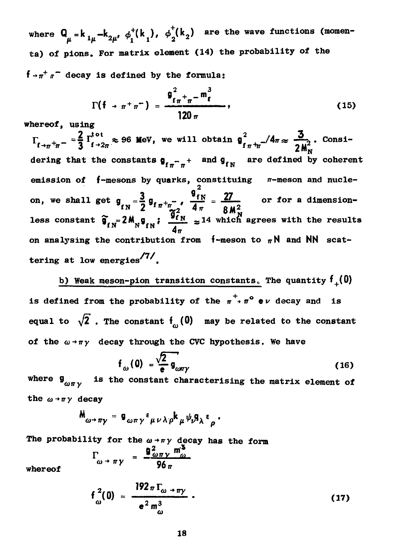where  $Q_{ij} = k_{ij}I_{ij} - k_{i}I_{ij}$ ,  $\phi_i^+(k_i)$ ,  $\phi_j^-(k_i)$  are the wave functions (momen **ta) of pions. For matrix element (14) the probability of the**  $f \rightarrow \pi^+ \pi^-$  decay is defined by the formula:

$$
\Gamma(\mathfrak{f} \to \pi^+ \pi^-) = \frac{\mathfrak{g}_{f\pi^+ \pi^-}^2 \mathfrak{m}_\mathfrak{k}^3}{120 \pi}, \qquad (15)
$$

**whereof, using**

 $\frac{1}{2}$   $\frac{1}{4}\frac{1}{8}$  =  $\frac{2}{3}$   $\frac{1}{100}$   $\approx$  96 MeV, we will obtain  $\frac{2}{3}$   $\frac{1}{4}\frac{4\pi}{\approx}$   $\frac{3}{40}$ . Consi $f \rightarrow \pi^+ \pi^-$  3  $f \rightarrow 2\pi$ dering that the constants  $g_{r-1}$  and  $g_{\epsilon N}$  are defined by coherent *ITT*<sup>*H*</sup> *IT* **emission of f-mesons by quarks, constituing** n—meson and nucle  $\sigma_{\rm{max}}$  =  $\sigma_{\rm{max}}$  +  $\sigma_{\rm{max}}$   $\sigma_{\rm{max}}$  +  $\sigma_{\rm{max}}$  +  $\sigma_{\rm{max}}$  +  $\sigma_{\rm{max}}$  +  $\sigma_{\rm{max}}$  +  $\sigma_{\rm{max}}$  +  $\sigma_{\rm{max}}$  +  $\sigma_{\rm{max}}$  +  $\sigma_{\rm{max}}$  +  $\sigma_{\rm{max}}$  +  $\sigma_{\rm{max}}$  +  $\sigma_{\rm{max}}$  +  $\sigma_{\rm{max}}$  +  $\sigma_{\rm{max}}$  +  $\$ **less constant**  $\widehat{\mathfrak{g}}_{fN} = 2 \mathsf{M}^{}_{N} \mathsf{g}_{fN}$ **:**  $\frac{\mathfrak{g}_{fN}}{4} \approx 14$  which agrees with the result on analysing the contribution from  $f$ -meson to  $\pi N$  and NN scattering at low energies<sup>/7/</sup>.

**b) Weak meson-pion transition constants, The quantity f+(0) is defined from the probability of the**  $\pi^+$ **,**  $\pi^0$  **ev decay and is** equal to  $\sqrt{2}$ . The constant  $f_{\omega}(0)$  may be related to the constant of the  $\omega$ <sup>+</sup> $\pi$ *y* decay through the CVC hypothesis. We have

$$
f_{\omega}(0) = \frac{\sqrt{2}}{e} g_{\omega \pi \gamma}
$$
 (16)

where  $\int_{\omega \pi y}$  is the constant characterising the matrix element of the  $\omega \rightarrow \pi \gamma$  decay

$$
M_{\omega \to \pi \gamma} = g_{\omega \pi \gamma} \epsilon_{\mu \nu \lambda \rho} k_{\mu} \psi_{\nu} g_{\lambda} \epsilon_{\rho}.
$$

The probability for the  $\omega \rightarrow \pi \gamma$  decay has the form

$$
\Gamma_{\omega \to \pi \gamma} = \frac{q_{\omega \pi \gamma}^2 m_{\omega}^2}{96 \pi}
$$

**whereof**

$$
f_{\omega}^{2}(0) = \frac{192 \pi \Gamma_{\omega \to \pi y}}{e^{2} m_{\omega}^{3}}.
$$
 (17)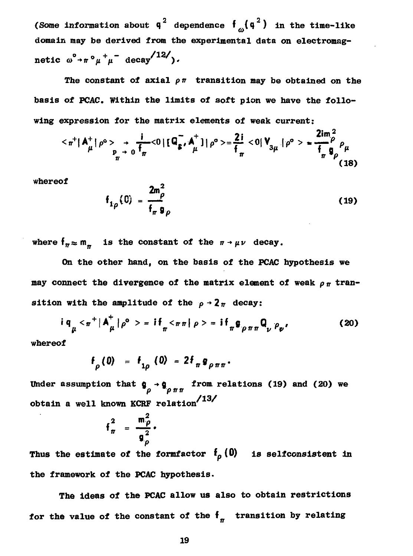**(Some information about**  $q^2$  **dependence**  $f_a(q^2)$  **in the time-like domain may be derived from the experimental data on electromag**  ${\bf n}$ etic  $\omega^{\circ}$ <sup>+</sup> ${\bf r}$  $\circ$  $\mu$ <sup>+</sup> $\mu$ <sup>-</sup> decay<sup>/12</sup>/).

The constant of axial  $\rho \pi$  transition may be obtained on the **basis of** *PCAC.* **Within the limits of soft pion we have the follo wing expression for the matrix elements of weak current:**

$$
\langle \pi^+ | A^+_\mu | \rho^0 > \frac{1}{\rho^2} \frac{1}{\rho^2} \langle 0 | [ \mathsf{Q}_{\mathsf{S}}^- , A^+_\mu ] | \rho^0 > = \frac{2i}{\mathsf{f}_{\pi}} \langle 0 | \mathsf{V}_{3\mu} | \rho^0 > = \frac{2\mathsf{im}_{\rho}^2}{\mathsf{f}_{\pi}} \rho_\mu
$$
(18)

**whereof**

$$
f_{1\rho}(0) = \frac{2m_{\rho}^2}{f_{\pi} g_{\rho}}
$$
 (19)

where  $f_{\pi} \approx m_{\pi}$  is the constant of the  $\pi \rightarrow \mu \nu$  decay.

**On the other hand, on the basis of the PCAC hypothesis we may connect the divergence of the matrix element of weak**  $\rho_{\pi}$  **transition with the amplitude of the**  $\rho \rightarrow 2\pi$  **decay:** 

$$
i \, q_{\mu} < \pi^+ \, | \, A^+_{\mu} \, | \, \rho^{\circ} \, > \, = \, i \, f_{\pi} < \pi \, n \, | \, \rho \, > \, = \, i \, f_{\pi} \, g_{\rho \, \pi \, \pi} \, Q_{\nu} \, \rho_{\nu} \, . \tag{20}
$$

**whereof**

$$
f_{\rho}(0) = f_{1\rho}(0) = 2f_{\pi}g_{\rho\pi\pi}.
$$

Under assumption that  $g \rightarrow g$  from relations (19) and (20) we *p pnn* **obtain a well known KCRF relation<sup>137</sup><br>**  $f_{\pi}^{2} = \frac{m_{\rho}^{2}}{g_{\rho}^{2}}$ **.** 

$$
f_{\pi}^2 = \frac{m_{\rho}^2}{g_{\rho}^2}.
$$

Thus the estimate of the formfactor  $f_p(0)$  is selfconsistent in **the framework of the PCAC hypothesis.**

**The ideas of the PCAC allow us also to obtain restrictions** for the value of the constant of the  $f_{n}$  transition by relating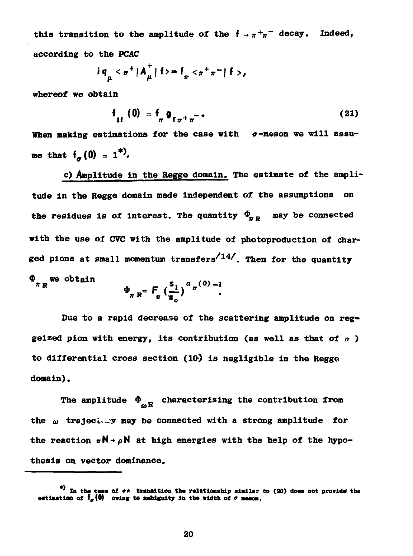this transition to the amplitude of the  $f \rightarrow \pi^+\pi^-$  decay. Indeed. according to the PCAC

$$
iq_{\mu} < \pi^{+} |A_{\mu}^{+}| f > = f_{\pi} < \pi^{+} \pi^{-} |f>
$$

whereof we obtain

$$
f_{1f} (0) = f_{\pi} g_{f_{\pi} + \pi} - \tag{21}
$$

When making estimations for the case with  $\sigma$ -meson we will assume that  $f_a(0) = 1^*$ .

c) Amplitude in the Regge domain. The estimate of the amplitude in the Regge domain made independent of the assumptions on the residues is of interest. The quantity  $\Phi_{\pi R}$  may be connected with the use of CVC with the amplitude of photoproduction of charged pions at small momentum transfers<sup> $/14/$ </sup>. Then for the quantity  $\Phi_{\pi}$  we obtain

$$
\Phi_{\pi R} = F_{\pi} \left( \frac{s_1}{s_0} \right)^{\alpha_{\pi}(0)} \cdot
$$

Due to a rapid decrease of the scattering amplitude on reggeized pion with energy, its contribution (as well as that of  $\sigma$  ) to differential cross section  $(10)$  is negligible in the Regge domain).

The amplitude  $\Phi_{\alpha R}$  characterising the contribution from the  $\omega$  trajectory may be connected with a strong amplitude for the reaction  $\pi N \rightarrow \rho N$  at high energies with the help of the hypothesis on vector dominance.

<sup>\*)</sup> In the case of  $\sigma$ \* transition the relationship similar to (20) does not provide the estimation of  $f_{\sigma}(0)$  owing to ambiguity in the width of  $\sigma$  meson.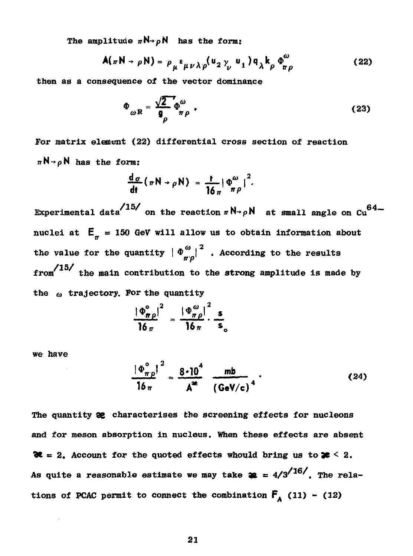The amplitude  $\pi N \rightarrow \rho N$  has the form:

$$
A(\pi N \rightarrow \rho N) = \rho_{\mu} \epsilon_{\mu \nu \lambda \rho} (u_2 \gamma_{\nu} u_1) q_{\lambda} k_{\rho} \Phi^{\omega}_{\pi \rho}
$$
 (22)

then as a consequence of the vector dominance

$$
\Phi_{\omega R} = \frac{\sqrt{2}}{9} \Phi_{\pi \rho}^{\omega} \tag{23}
$$

For matrix element (22) differential cross section of reaction  $\pi N \rightarrow \rho N$  has the form:

$$
\frac{d\sigma}{dt}(\pi N \rightarrow \rho N) = \frac{t}{16\pi} |\Phi_{\pi}^{\omega}|^2.
$$

Experimental data<sup>/15/</sup> on the reaction  $\pi N \rightarrow \rho N$  at small angle on Cu<sup>64</sup>nuclei at  $E_{\pi}$  = 150 GeV will allow us to obtain information about the value for the quantity  $\left|\Phi_{\pi v}^{\omega}\right|^2$  . According to the results  $from/15/$  the main contribution to the strong amplitude is made by the  $\omega$  trajectory. For the quantity

$$
\frac{|\Phi_{\pi\rho}^{\circ}|^2}{\log n} = \frac{|\Phi_{\pi\rho}^{\omega}|^2}{\log n} \cdot \frac{s}{s}
$$

we have

$$
\frac{|\Phi_{\pi p}^{\circ}|^2}{16\pi} \approx \frac{8 \cdot 10^4}{A^2} \frac{mb}{(\text{GeV/c})^4} \tag{24}
$$

The quantity **32** characterises the screening effects for nucleons and for meson absorption in nucleus. When these effects are absent  $\mathcal{X} = 2$ . Account for the quoted effects whould bring us to  $\mathcal{Z} \leq 2$ . As quite a reasonable estimate we may take  $\mathbf{a} = 4/3^{16}$ . The relations of PCAC permit to connect the combination  $F_A$  (11) - (12)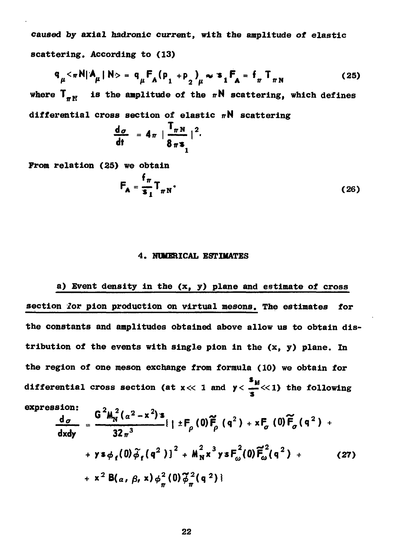**caused by axial hadronic current, with the amplitude of elastic scattering. According to (13)**

$$
q_{\mu} < \pi N | A_{\mu} | N > = q_{\mu} F_{A} (p_{1} + p_{2})_{\mu} \approx s_{1} F_{A} = f_{\pi} T_{\pi N}
$$
 (25)

where  $T_{\text{av}}$  is the amplitude of the  $\pi N$  scattering, which defines differential cross section of elastic  $\pi N$  scattering

$$
\frac{\mathrm{d}\sigma}{\mathrm{d}t} = 4\pi \left| \frac{\mathbf{1}_{\pi N}}{8\pi \mathbf{s}} \right|^2
$$

From relation (25) we obtain

$$
\mathbf{F}_{\mathbf{A}} = \frac{\mathbf{f}_{\pi}}{\mathbf{s}_{\mathbf{I}}} \mathbf{T}_{\pi N}.
$$
 (26)

### **4. NUMERICAL ESTIMATES**

**a) Event density in the (x, y) plane and estimate of cross section for pion production on virtual mesons. The estimates for the constants and amplitudes obtained above allow us to obtain dis tribution of the events with single pion in the (x, y) plane. In the region of one meson exchange from formula (10) we obtain for s M differential cross section (at x « 1 and y< -\_«i ) the following**

$$
\frac{d_{\sigma}}{dx dy} = \frac{G^{2}M_{N}^{2}(a^{2}-x^{2})s}{32\pi^{3}}\left\{1 \pm F_{\rho}(0)\tilde{F}_{\rho}(q^{2}) + xF_{\sigma}(0)\tilde{F}_{\rho}(q^{2}) + y s\phi_{f}(0)\tilde{\phi}_{f}(q^{2})\right\}^{2} + M_{N}^{2}x^{3}ysF_{\omega}^{2}(0)\tilde{F}_{\omega}^{2}(q^{2}) + x^{2}B(a, \beta, x)\phi_{\pi}^{2}(0)\tilde{\phi}_{\pi}^{2}(q^{2})\}
$$
\n(27)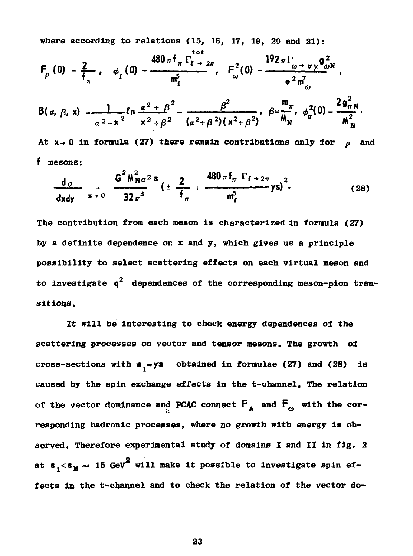**where according to relations (15, 16, 17, 19, 20 and 21):**

$$
F_{\rho}(0) = \frac{2}{f_{n}}, \quad \phi_{f}(0) = \frac{480 \pi f_{\pi} \Gamma_{f \to 2\pi}}{m_{f}^{5}}, \quad F_{\omega}^{2}(0) = \frac{192 \pi \Gamma_{\omega \to \pi} \gamma \theta_{\omega}^{2} N}{e^{2} m_{\omega}^{2}}.
$$
  
\n
$$
B(\alpha, \beta, x) = \frac{1}{\alpha^{2} - x^{2}} \ln \frac{\alpha^{2} + \beta^{2}}{x^{2} + \beta^{2}} - \frac{\beta^{2}}{(\alpha^{2} + \beta^{2})(x^{2} + \beta^{2})}, \quad \beta = \frac{m_{\pi}}{M_{N}}, \quad \phi_{\pi}^{2}(0) = \frac{2 g_{\pi}^{2} N}{M_{N}^{2}}.
$$
  
\nAt  $x \to 0$  in formula (27) there remain contributions only for  $\rho$  and

**f mesons:**

$$
\frac{d_{\sigma}}{dx dy} \xrightarrow{x \to 0} \frac{G^2 M_{\rm N}^2 a^2 s}{32 \pi^3} \left( \pm \frac{2}{f_{\pi}} + \frac{480 \pi f_{\pi} \Gamma_{f \to 2\pi}}{m_f^5} \gamma s \right)^2. \tag{28}
$$

**The contribution from each meson is characterized in formula (27) by a definite dependence on x and y, which gives us a principle possibility to select scattering effects on each virtual meson and** to investigate  $q^-$  dependences of the corresponding meson-pion tran **sitions.**

**It will be interesting to check energy dependences of the scattering processes on vector and tensor mesons. The growth of cross-sections with**  $s<sub>1</sub> = ys$  obtained in formulae (27) and (28) is **caused by the spin exchange effects in the t-channel. The relation** of the vector dominance and PCAC connect  $\mathbf{F}_\mathbf{A}$  and  $\mathbf{F}_\omega$  with the cor**responding hadronic processes, where no growth with energy is ob served. Therefore experimental study of domains I and II in fig, 2** at  $s_1 < s_M$   $\sim$  15 GeV<sup>2</sup> will make it possible to investigate spin ef**fects in the t-channel and to check the relation of the vector do**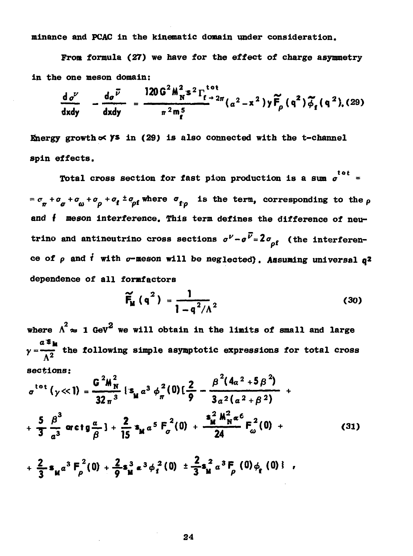**minance and PCAC in the kinematic domain under consideration.**

**From formula (27) we have for the effect of charge asymmetry in the one meson domain:**

$$
\frac{d\sigma^{\nu}}{dxdy} - \frac{d\sigma^{\bar{\nu}}}{dxdy} = \frac{120 G^2 M_N^2 s^2 \Gamma_{f \to 2\pi}^{tot}}{\pi^2 m_f^5} (a^2 - x^2) y \widetilde{F}_{\rho} (q^2) \widetilde{\phi}_f (q^2), (29)
$$

**Energy growth ec ys in (29) is also connected with the t-channel spin effects.**

**Total cross section for fast pion production is a sum**  $\sigma$  =  $=\sigma_{\sigma}+\sigma_{\alpha}+\sigma_{\alpha}+\sigma_{\alpha}+\sigma_{\beta}+\sigma_{\alpha}$  where  $\sigma_{\rm f.o.}$  is the term, corresponding to the  $\rho$ and  $\dagger$  meson interference. This term defines the difference of neu**trino** and antineutrino cross sections  $\sigma^{\nu} - \sigma^{\bar{\nu}} = 2\sigma_{\rm of}$  (the interferen**trino and antineutrino cross sections** *o -o =2o* **f (the interferen ce of** *p* **and** *i* **with a-meson will be neglected). Assuming universal q2**

$$
\widetilde{F}_{\mathbf{M}}(q^2) = \frac{1}{1 - q^2/A^2}
$$
 (30)

where  $\Lambda^2 \approx 1$  GeV<sup>2</sup> we will obtain in the limits of small and large  $y=\frac{y-x}{\Delta^2}$  the following simple asymptotic expressions for total cross **sections:**

$$
\sigma^{tot}(\gamma \ll 1) = \frac{G^2 M_N^2}{32 \pi^3} \left\{ s_M a^3 \phi_\pi^2(0) \left[ \frac{2}{9} - \frac{\beta^2 (4\alpha^2 + 5\beta^2)}{3\alpha^2 (\alpha^2 + \beta^2)} + \frac{5}{3} \frac{\beta^3}{a^3} \arctan \frac{\alpha}{\beta} \right\} + \frac{2}{15} s_M a^5 F_o^2(0) + \frac{s_M^2 M_N^2 \alpha^6}{24} F_o^2(0) + \tag{31}
$$

$$
+\frac{2}{3}s_{\mu}a^{3}F_{\rho}^{2}(0)+\frac{2}{9}s_{\mu}^{3}a^{3}\phi_{f}^{2}(0)\pm\frac{2}{3}s_{\mu}^{2}a^{3}F_{\rho}(0)\phi_{f}(0)\} ,
$$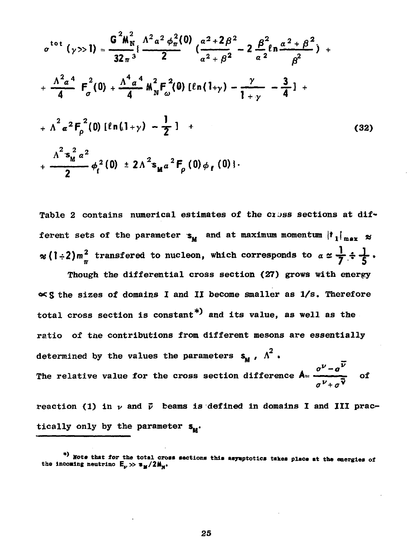$$
\sigma^{tot} (\gamma >> 1) = \frac{G^2 M_N^2}{32 \pi^3} \{ \frac{\Lambda^2 a^2 \phi_\pi^2 (0)}{2} \left( \frac{a^2 + 2\beta^2}{a^2 + \beta^2} - 2 \frac{\beta^2}{a^2} \ln \frac{a^2 + \beta^2}{\beta^2} \right) + \frac{\Lambda^2 a^4}{4} F_\sigma^2 (0) + \frac{\Lambda^4 a^4}{4} M_N^2 F_\omega^2 (0) \left[ \ln(1 + \gamma) - \frac{\gamma}{1 + \gamma} - \frac{3}{4} \right] + \frac{\Lambda^2 a^2 F_\rho^2 (0) \left[ \ln(1 + \gamma) - \frac{1}{2} \right] + \frac{\Lambda^2 s_M^2 a^2}{2} \phi_f^2 (0) + 2\Lambda^2 s_M a^2 F_\rho (0) \phi_f (0) \}.
$$
\n(32)

Table 2 contains numerical estimates of the cross sections at different sets of the parameter  $s_{\mathbf{u}}$  and at maximum momentum  $\left| \mathbf{t}_{1} \right|_{\max} \approx$  $\approx$  (1÷2) $m_{\pi}^2$  transfered to nucleon, which corresponds to  $\alpha \approx \frac{1}{7} \div \frac{1}{5}$ .

Though the differential cross section (27) grows with energy  $\propto$  S the sizes of domains I and II become smaller as  $1/s$ . Therefore total cross section is constant<sup>\*)</sup> and its value, as well as the ratio of the contributions from different mesons are essentially determined by the values the parameters  $s_M$ ,  $\Lambda^2$ . The relative value for the cross section difference  $A = \frac{\sigma^V - \sigma^V}{\sigma^V - \sigma^V}$  of

reaction (1) in  $\nu$  and  $\vec{\nu}$  beams is defined in domains I and III practically only by the parameter  $s_{\mu}$ .

<sup>\*)</sup> Note that for the total cross sections this asymptotics takes place at the energies of the incoming neutrino  $E_{\nu} \gg s_M/2M_N$ .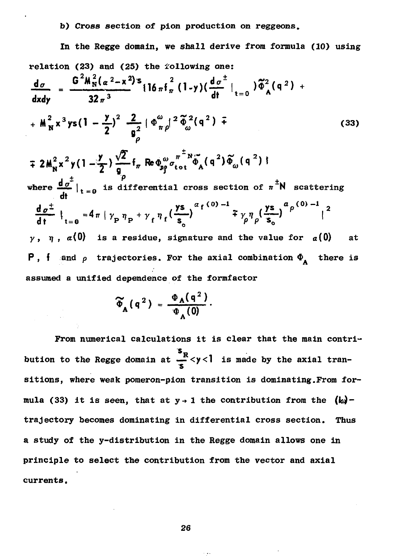## **b) Cross section of pion production on reggeons.**

**In the Regge domain, we shall derive from formula (10) using relation (23) and (25) the iollowing one:**  $d\sigma$  $dx dy$   $32\pi^3$  dt  $y = 0$  $\int_{0}^{2} \frac{Z}{r^{2}} \left[ \Phi_{\pi}^{\omega} \right]^{2} \tilde{\Phi}_{\omega}^{2} (\mathsf{q}^{2}) +$  (33)  $\mp 2M_{N}^{2}x^{2}y(1-\frac{y}{2})\frac{\sqrt{2}}{9}f_{\pi}$  Re  $\phi_{N}^{\omega}\sigma_{tot}^{\pi^{\pm}N}\tilde{\phi}_{A}(\mathfrak{q}^{2})\tilde{\phi}_{\omega}(\mathfrak{q}^{2})$ **.**  $\mathbf{P}$  +  $\mathbf{P}$  +  $\mathbf{P}$  +  $\mathbf{P}$  +  $\mathbf{P}$ **where —-£- I. "i s differential cross section of n N scattering**  $\frac{d\sigma^{\pm}}{dt}\Big|_{t=0} = 4\pi \Big|\gamma_{\rm p} \eta_{\rm p} + \gamma_{\rm f} \eta_{\rm f} \Big(\frac{y_{\rm S}}{s}\Big)^{\alpha_{\rm f}(0)-1} \mp \gamma_{\rm g} \eta_{\rm g} \Big(\frac{y_{\rm S}}{s}\Big)^{\alpha_{\rm p}(0)-1} \Big|^2$  $\gamma$ ,  $\eta$ ,  $\alpha$ (0) is a residue, signature and the value for  $\alpha$ (0) at **P**, **f** and  $\rho$  trajectories. For the axial combination  $\Phi_{\bf A}$  there is **assumed a unified dependence of the formfactor**

$$
\widetilde{\Phi}_{A}(q^{2}) = \frac{\Phi_{A}(q^{2})}{\Phi_{A}(0)}.
$$

**From numerical calculations it is clear that the main contri bution to the Regge domain at**  $\frac{5R}{2}$  **< y < l is made by the axial transitions, where weak pomeron-pion transition is dominating.From for** mula (33) it is seen, that at  $y \rightarrow 1$  the contribution from the  $(k_d)$ **trajectory becomes dominating in differential cross section. Thus a study of the y-distribution in the Regge domain allows one in principle to select the contribution from the vector and axial currents.**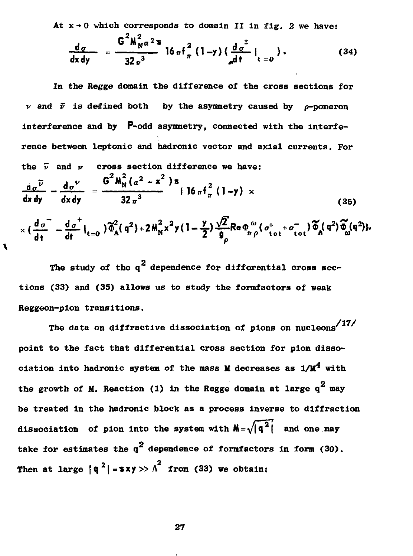**At x-»0 which corresponds to domain II in fig. 2 we have:**

$$
\frac{d_{\sigma}}{dx dy} = \frac{G^2 M_{N}^2 a^2 s}{32 \pi^3} 16 \pi f_{\pi}^2 (1 - y) (\frac{d_{\sigma}^{\pm}}{dt} |_{t=0}).
$$
 (34)

**In the Regge domain the difference of the cross sections for**  $\nu$  and  $\vec{\nu}$  is defined both by the asymmetry caused by  $\rho$ -pomeron **interference and by P-odd asymmetry, connected with the interfe rence between leptonic and hadronic vector and axial currents. For** the  $\bar{\nu}$  and  $\nu$  cross section difference we have:  $\overline{v}$   $d\sigma^{\nu}$  **G**  $M_N(a^2 - x^2)$ **s dx dy** dx dy  $32\pi^3$  (35)  $\times \left(\frac{d_{\sigma}}{dt} - \frac{d_{\sigma}^{\dagger}}{dt}\right|_{t=0} \left| \widetilde{\Phi}_{A}^{2}(q^{2}) + 2M_{N}^{2}x^{2}y(1-\frac{y}{2})\frac{\sqrt{2}}{9}Re\,\Phi_{\pi\rho}^{\omega}( \sigma_{tot}^{+}+ \sigma_{tot}^{-})\widetilde{\Phi}_{A}(q^{2})\widetilde{\Phi}_{\omega}^{\prime}(q^{2}) \right|.$ 

The study of the  $q^2$  dependence for differential cross sections (33) and (35) allows us to study the formfactors of weak **tions (33) and (35) allows us to study the formfactors of weak**

**\**

The data on diffractive dissociation of pions on nucleons<sup>/17/</sup> point to the fact that differential cross section for pion dissociation into hadronic system of the mass **M** decreases as  $1/M^4$  with  $\alpha$ be treated in the hadronic block as a process inverse to diffraction dissociation of pion into the system with  $M = \sqrt{q^2}$  and one may take for estimates the  $q^2$  dependence of formfactors in form (30). Then at large  $|q^2|$  =  $\frac{1}{2}$   $\frac{1}{2}$  from (33) we obtain: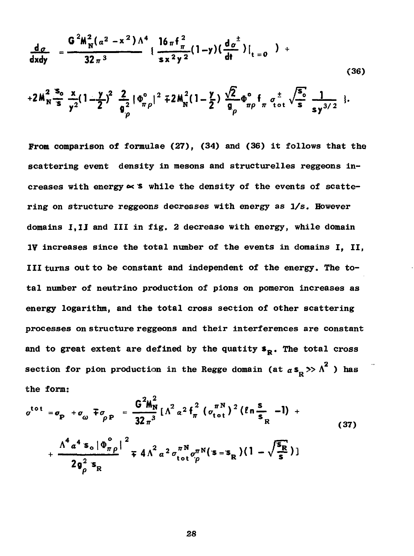$$
\frac{d_{\sigma}}{dxdy} = \frac{G^{2}M_{N}^{2}(a^{2}-x^{2})\Lambda^{4}}{32\pi^{3}} \left\{ \frac{16\pi f_{\pi}^{2}}{sx^{2}y^{2}}(1-y)(\frac{d_{\sigma}^{2}}{dt}) \right\}_{t=0}^{t} \right\}
$$
(36)

$$
+2M_{N}^{2}\frac{s_{o}}{s}\frac{x}{y^{2}}(1-\frac{y}{2})^{2}\frac{2}{\theta_{\rho}^{2}}|\Phi_{\pi\rho}^{\circ}|^{2}+2M_{N}^{2}(1-\frac{y}{2})\frac{\sqrt{2}}{\theta_{\rho}}\Phi_{\pi\rho}^{\circ}+\sigma_{tot}^{\pm}\sqrt{\frac{s_{o}}{s}}\frac{1}{sy^{3/2}}\}.
$$

From comparison of formulae (27), (34) and (36) it follows that the scattering event density in mesons and structurelles reggeons increases with energy  $\approx$  's while the density of the events of scattering on structure reggeons decreases with energy as 1/s. However domains I.II and III in fig. 2 decrease with energy, while domain 1V increases since the total number of the events in domains I. II. III turns out to be constant and independent of the energy. The total number of neutrino production of pions on pomeron increases as energy logarithm, and the total cross section of other scattering processes on structure reggeons and their interferences are constant and to great extent are defined by the quatity  $s_p$ . The total cross section for pion production in the Regge domain (at  $\alpha s_p \gg \Lambda^2$  ) has the form:

$$
\sigma^{tot} = \sigma_{\rm p} + \sigma_{\omega} \mp \sigma_{\rho \rm p} = \frac{G^2 M_{\rm N}^2}{32 \pi^3} \left[ \Lambda^2 \alpha^2 f_{\pi}^2 \left( \sigma_{\rm tot}^{\pi \rm N} \right)^2 (ln \frac{s}{s_R} - l) + \frac{\Lambda^4 \alpha^4 s_{\rm o} |\Phi_{\pi \rho}^{\circ}|^2}{2 g_{\rho}^2 s_{\rm R}} + \frac{\Lambda^4 \alpha^4 s_{\rm o} |\Phi_{\pi \rho}^{\circ}|^2}{2 g_{\rho}^2 s_{\rm R}} + (37)
$$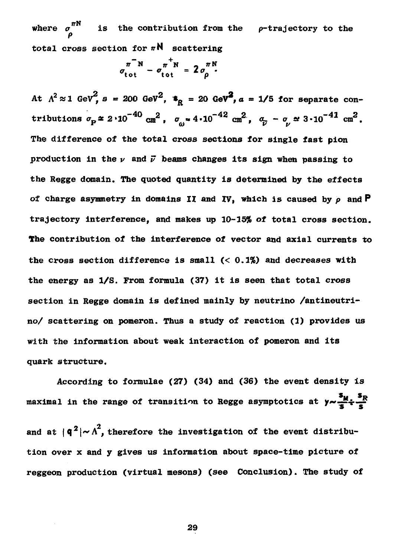**where** *о* **is the contribution from the p-trajectory to the P** total cross section for  $\pi N$  scattering

$$
\sigma_{\text{tot}}^{\pi^- N} - \sigma_{\text{tot}}^{\pi^+ N} = 2 \sigma_{\rho}^{\pi N}.
$$

 $\mathbf{R} = 20$  density  $\mathbf{R} = 20$  density  $\mathbf{R} = 20$  density  $\mathbf{R} = 20$  density  $\mathbf{R} = 20$  density  $\mathbf{R} = 20$  density  $\mathbf{R} = 20$  density  $\mathbf{R} = 20$  density  $\mathbf{R} = 20$  density  $\mathbf{R} = 20$  density  $\mathbf{R} = 20$ **tributions** *<rp\** **2«10"<sup>40</sup> cm 2 , Oy-4.10"<sup>42</sup> cm 2 ,** *a. - о at* **3-10~<sup>41</sup> cm 2 The difference of the total cross sections for single fast pion** production in the  $\nu$  and  $\vec{\nu}$  beams changes its sign when passing to **the Regge domain. The quoted quantity is determined by the effects of charge asymmetry in domains II and IV, which is caused by** *p* **and P trajectory interference, and makes up 10-15% of total cross section. The contribution of the interference of vector and axial currents to the cross section difference is small (< 0.1%) and decreases with the energy as 1/S. From formula (37) it is seen that total cross section in Regge domain is defined mainly by neutrino /antineutri no/ scattering on pomeron. Thus a study of reaction (1) provides us with the information about weak interaction of pomeron and its quark structure.**

**According to formulae (27) (34) and (36) the event density is su s<sup>R</sup> maximal in the range of transition to Regge asymptotics at** *y~-^+S* **and at |q<sup>2</sup> |\*"A , therefore the investigation of the event distribu tion over x and у gives us information about space-time picture of reggeon production (virtual mesons) (see Conclusion). The study of**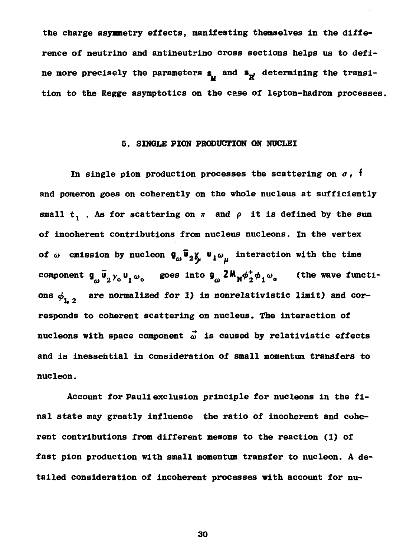**the charge asymmetry effects, manifesting themselves in the diffe rence of neutrino and antineutrino cross sections helps us to defi** ne more precisely the parameters  $s_{\mu}$  and  $s_{\overline{x}'}$  determining the transi**tion to the Regge asymptotics on the case of lepton-hadron processes.**

### **5. SINGLE PION PRODUCTION ON NUCLEI**

In single pion production processes the scattering on  $\sigma$ , **f and pomeron goes on coherently on the whole nucleus at sufficiently** small  $t_1$  . As for scattering on  $\pi$  and  $\rho$  it is defined by the sum **of incoherent contributions from nucleus nucleons. In the vertex** of  $\omega$  emission by nucleon  $\oint_{\omega} \overline{\Psi}_2 \chi_{\mu} \Psi_1 \omega_{\mu}$  interaction with the time component  $g_{\omega} \bar{u}_2 \gamma_o u_1 \omega_o$  goes into  $g_{\omega} 2 M_N \phi_2^+ \phi_1 \omega_o$  (the wave functions  $\phi_{i,j}$  are normalized for 1) in nonrelativistic limit) and cor**responds to coherent scattering on nucleus. The interaction of** nucleons with space component  $\vec{\omega}$  is caused by relativistic effects **and is inessential in consideration of small momentum transfers to nucleon.**

**Account for Paul! exclusion principle for nucleons in the fi nal state may greatly influence the ratio of incoherent and cohe rent contributions from different mesons to the reaction (1) of fast pion production with small momentum transfer to nucleon. A de tailed consideration of incoherent processes with account for nu**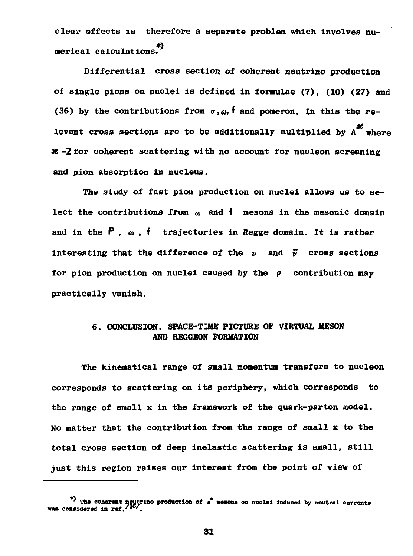**clear effects is therefore a separate problem which involves nu \*) merical calculations.**

**Differential cross section of coherent neutrino production of single pions on nuclei is defined in formulae (7), (10) (27) and** (36) by the contributions from  $\sigma$ ,  $\omega$ , f and pomeron. In this the relevant cross sections are to be additionally multiplied by A<sup>*t*</sup> where  **=2 for coherent scattering with no account for nucleon screening and pion absorption in nucleus.**

**The study of fast pion production on nuclei allows us to se lect the contributions from**  $\omega$  and **f** mesons in the mesonic domain **and in the P ,** *o> , f* **trajectories in Regge domain. It is rather interesting that the difference of the**  $\nu$  and  $\vec{\nu}$  cross sections **for pion production on nuclei caused by the** *p* **contribution may practically vanish.**

# **6. CONCLUSION. SPACE-TIME PICTURE OF VIRTUAL MESON AND REGGEON FORMATION**

**The kinematical range of small momentum transfers to nucleon corresponds to scattering on its periphery, which corresponds to the range of small x in the framework of the quark-parton model. No matter that the contribution from the range of small x to the total cross section of deep inelastic scattering is small, still just this region raises our interest from the point of view of**

**<sup>\*</sup>** The coherent neutrino production of  $r^2$  mesons on nuclei induced by neutral currents<br>was considered in ref.<sup>'16</sup>'.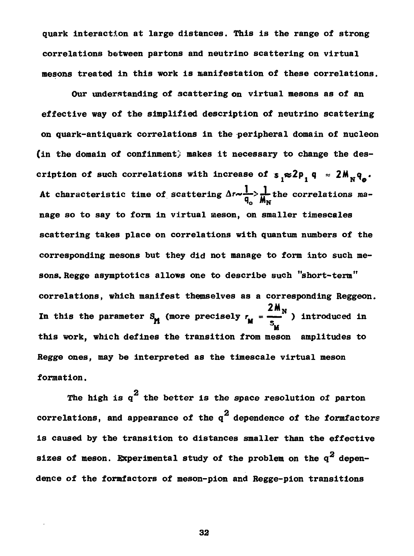**quark interaction at large distances. This is the range of strong correlations between partons and neutrino scattering on virtual mesons treated in this work is manifestation of these correlations.**

**Our understanding of scattering on virtual mesons as of an effective way of the simplified description of neutrino scattering on quark-antiquark correlations in the -peripheral domain of nucleon (in the domain of confinment) makes it necessary to change the des** cription of such correlations with increase of  $s_{1} \approx 2p_{1} q_{2}$ . **At characteristic time of scattering A»<sup>7</sup> "—->jf-the correlations ma nage so to say to form in virtual meson, on smaller timescales scattering takes place on correlations with quantum numbers of the corresponding mesons but they did not manage to form into such me sons. Regge asymptotics allows one to describe such "short-term" correlations, which manifest themselves as a corresponding Reggeon.** 2M<sub>N</sub> **In this the parameter S<sub>M</sub>** (more precisely  $r_M = \frac{1}{2}$ ) introduced in **M** Regge ones, may be interpreted as the timescale virtual meson formation.

**2 The high is q the better is the space resolution of parton** ling and the contract of the contract of the contract of the contract of the contract of the contract of the contract of the contract of the contract of the contract of the contract of the contract of the contract of the c is caused by the transition to distances smaller than the effective sizes of meson. Experimental study of the problem on the  $q^2$  dependence of the formfactors of meson-pion and Regge-pion transitions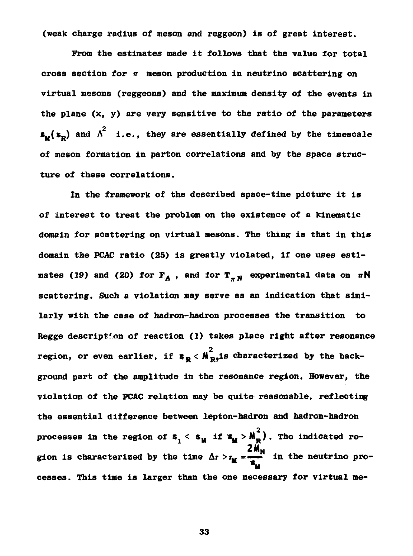**(weak charge radius of meson and reggeon) is of great interest.**

**From the estimates made it follows that the value for total cross section for** *n* **meson production in neutrino scattering on virtual mesons (reggeons) and the maximum density of the events in the plane (x, y) are very sensitive to the ratio of the parameters**  $s_{\mu}(s_{\rho})$  and  $\Lambda^2$  i.e., they are essentially defined by the timescale of meson formation in parton correlations and by the space struc-

In the framework of the described space-time picture it is mates (19) and (20) for  $F_A$ , and for  $T_{\pi N}$  experimental data on  $\pi N$ scattering. Such a violation may serve as an indication that simi-**Regge description of reaction (1) takes place right after resonance 2** ground part of the amplitude in the resonance region. However, the violation of the PCAC relation may be quite reasonable, reflecting the essential difference between lepton-hadron and hadron-hadron processes in the region of  $s_{1} < s_{1}$  if  $s_{1} > M_{R}^{2}$ ). The indicated region is characterized by the time  $\Delta r > r_{\text{M}} = \frac{2 M_{\text{N}}}{s_{\text{M}}}$  in the neutrino p **gion is characterized by the time Ar >rH =—— in the neutrino pro cesses. This time is larger than the one necessary for virtual me**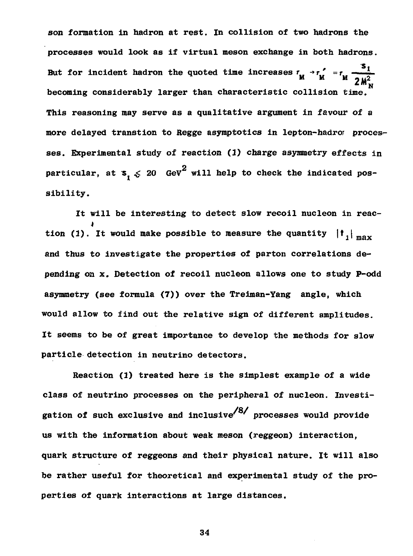**son formation in hadron at rest. In collision of two hadrons the processes would look as if virtual meson exchange in both hadrons.** But for incident hadron the quoted time increases  $r_{1} \rightarrow r_{2}$  =  $r_{1}$  =  $\frac{1}{r_{2}}$  *2N* This reasoning may serve as a qualitative argument in favour of a more delayed transtion to Regge asymptotics in lepton-hadro proces**particular, at**  $s_n \leq 20$  **GeV<sup>2</sup> will help to check the indicated pos**sibility.

It will be interesting to detect slow recoil nucleon in reaction (1). It would make possible to measure the quantity  $|{\bf t}_1|_{\max}$ and thus to investigate the properties of parton correlations depending on x. Detection of recoil nucleon allows one to study P-odd asymmetry (see formula (7)) over the Treiman-Yang angle, which would allow to find out the relative sign of different amplitudes. It seems to be of great importance to develop the methods for slow particle detection in neutrino detectors.

Reaction (1) treated here is the simplest example of a wide class of neutrino processes on the peripheral of nucleon. Investi**class of neutrino processes on the peripheral of nucleon. Investing/** us with the information about weak meson (reggeon) interaction, quark structure of reggeons and their physical nature. It will also **quark structure of reggeons and their physical nature. It will also** perties of quark interactions at large distances.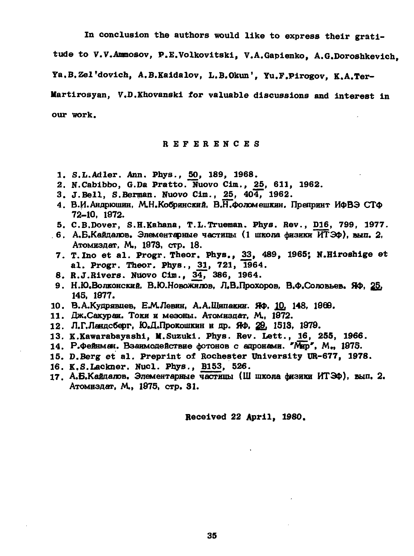**In conclusion the authors would like to express their grati**

**tude to V.V.Aramosov, P.E.Volkovitski, V.A.Gapienko, A.G.Doroshkevich,**

**Ya.B.Zel'dovich, A.B.Kaidalov, L.B.Okun', Yu.F.Pirogov, K.A.Ter**

**Martirosyan, V.D.Khovanski for valuable discussions and interest in our work.**

**REFERENCE S**

- **1. S.L.Adler. Ann. Phys., 50, 189, 1968.**
- **2. N.Cabibbo, G.Da Pratto. Nuovo Cim.,** *2b,* **611, 1962.**
- **3. J.Bell, S.Berman. Nuovo Cim., 25, 404, 1962.**
- 4. В.И.Андрюшин, М.Н.Кобринский, В.Н.Фоломешкин. Препринт ИФВЭ СТФ **72-Ю, 1972.**
- **5. C.B.Dover, S.H.Kahana, T.L.Trueman. Phys. Rev., D16, 799, 1977.**
- 6. А.Б.Кайдалов. Элементарные частицы (1 школа физики ИТЭФ), вып. 2. **Атомиздат, М., 1978, стр. 18.**
- **7. T. Ino et al. Progr. Theor. Phys., 33, 489, 1965; N.Hiroshige et a l . Progr. Theor. Phys., £1 , 721, 1964.**
- **8. R.J.Rivers. Nuovo Cim., J34, 386, 1964.**
- **9. Н.Ю.Волконский, В.Ю.Новожилов, Л.В.Прохоров, В.Ф.Соловьев. ЯФ, 2§, 14S, 1877.**
- **10. В.А.Кудрявцев, Е.№Левин, А.А.Щипакин. ЯФ, 10, 148, 1968.**
- 11. Дж.Сакураи. Токи и мезоны. Атомиздат. М., 1972.
- 12. Л.Г.Ландсберг, Ю.Д.Прокошкин и др. Яф, 29, 1513, 1979.
- **13. K.Kawarabayashi, M.Suzuki. Phys. Rev. Lett.,** *16,* **255, 1966.**
- 14. Р.Фейнм*а*н. Взаимодействие фотонов с адронами. "Мар", М., 1975.
- **15. D.Berg e t al . Preprint of Rochester University UR-677, 1978.**
- **16. K.S.Lackner. Nucl. Phys., B153, 526.**
- 17. А.Б.Кайдалов. Элементарные частицы (III школа физики ИТЭФ), вып. 2. **Атомиздат, М., 1875, стр. 31.**

**Received 22 April, 1980.**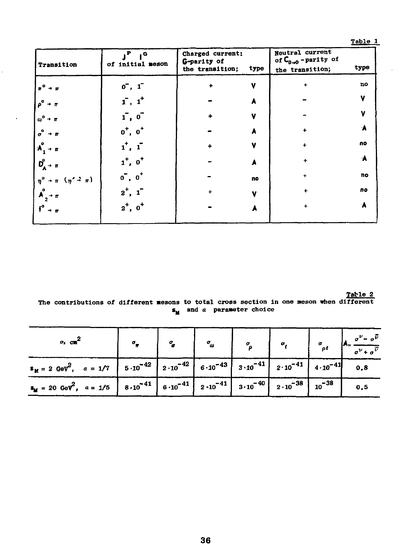Table 1

| Transition                                                                | . Р<br>۰۵<br>of initial meson | Charged current:<br>G-parity of<br>the transition; | type | Neutral current<br>of $C_{0\rightarrow 0}$ -parity of<br>the transition; | type |
|---------------------------------------------------------------------------|-------------------------------|----------------------------------------------------|------|--------------------------------------------------------------------------|------|
|                                                                           | $0^-, 1^-$                    | ∔                                                  | v    | ÷                                                                        | no   |
|                                                                           | $\mathbf{1}$ , $\mathbf{1}$   |                                                    |      |                                                                          | v    |
|                                                                           | 1,0                           |                                                    | v    |                                                                          | v    |
|                                                                           | $o^+$ , $o^+$                 |                                                    |      |                                                                          |      |
|                                                                           | 1, 1                          |                                                    | v    | ÷                                                                        | no   |
| $\mathbf{D}_{\mathbf{A}}^{\circ}$ + $\pi$                                 | $1^+, 0^+$                    |                                                    |      |                                                                          | А    |
| $\eta^0 \rightarrow \pi^-(\eta' \stackrel{\rightarrow}{\rightarrow} \pi)$ | $0^{\circ}$ , $0^{\circ}$     |                                                    | no   | ÷                                                                        | no   |
| $\int_{2}^{0}$ + $\pi$                                                    | $2^{\dagger}$ ,               |                                                    | v    | ÷                                                                        | no   |
| $f^{\circ}$                                                               | $2^+$ , $0^+$                 |                                                    |      | ٠                                                                        |      |
|                                                                           |                               |                                                    |      |                                                                          |      |

l,

 $\begin{tabular}{ll} The \emph{contributions of different mesons to total cross section in one meson when different} \end{tabular}$  $s_{\rm M}$  and  $a$  parameter choice

| $\sigma$ , cm <sup>2</sup>                                                                                                                                                                    |  |  |  | $\sigma_{\rm F}$ $\sigma_{\rm g}$ $\sigma_{\rm g}$ $\sigma_{\rm g}$ $\sigma_{\rm f}$ $\sigma_{\rm f}$ $\sigma_{\rm f}$ $A = \frac{\sigma^{\nu} - \sigma^{\bar{\nu}}}{\sigma^{\nu} + \sigma^{\bar{\nu}}}$ |
|-----------------------------------------------------------------------------------------------------------------------------------------------------------------------------------------------|--|--|--|----------------------------------------------------------------------------------------------------------------------------------------------------------------------------------------------------------|
| $\mathbf{s}_{\mathbf{M}} = 2 \text{ GeV}^2$ , $a = 1/7$   $5 \cdot 10^{-42}$   $2 \cdot 10^{-42}$   $6 \cdot 10^{-43}$   $3 \cdot 10^{-41}$   $2 \cdot 10^{-41}$   $4 \cdot 10^{-41}$   $0.8$ |  |  |  |                                                                                                                                                                                                          |
| $S_M = 20 \text{ GeV}^2$ , $a = 1/5$ $8.10^{-41}$ $6.10^{-41}$ $2.10^{-41}$ $3.10^{-40}$ $2.10^{-38}$ $10^{-38}$ $0.5$                                                                        |  |  |  |                                                                                                                                                                                                          |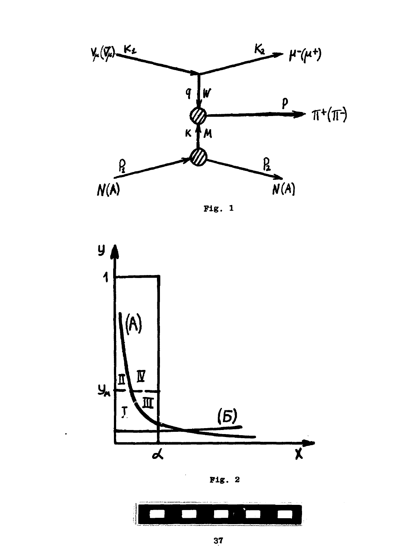

 $Fig. 1$ 



Fig.